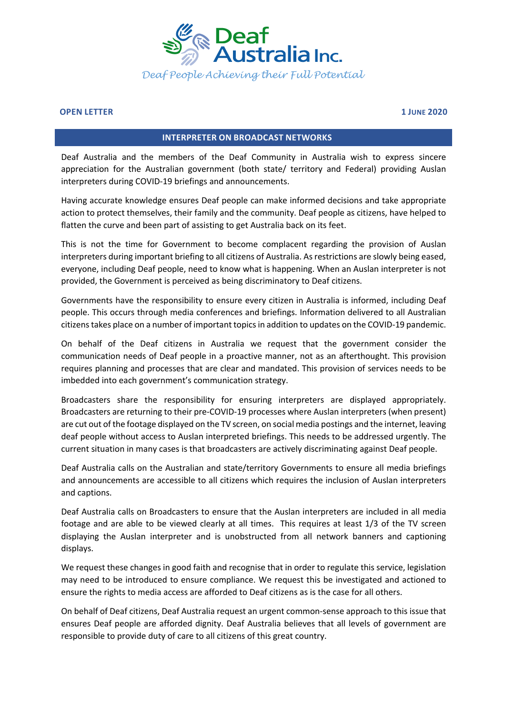

## **OPEN LETTER 1 JUNE 2020**

## **INTERPRETER ON BROADCAST NETWORKS**

Deaf Australia and the members of the Deaf Community in Australia wish to express sincere appreciation for the Australian government (both state/ territory and Federal) providing Auslan interpreters during COVID-19 briefings and announcements.

Having accurate knowledge ensures Deaf people can make informed decisions and take appropriate action to protect themselves, their family and the community. Deaf people as citizens, have helped to flatten the curve and been part of assisting to get Australia back on its feet.

This is not the time for Government to become complacent regarding the provision of Auslan interpreters during important briefing to all citizens of Australia. As restrictions are slowly being eased, everyone, including Deaf people, need to know what is happening. When an Auslan interpreter is not provided, the Government is perceived as being discriminatory to Deaf citizens.

Governments have the responsibility to ensure every citizen in Australia is informed, including Deaf people. This occurs through media conferences and briefings. Information delivered to all Australian citizens takes place on a number of important topics in addition to updates on the COVID-19 pandemic.

On behalf of the Deaf citizens in Australia we request that the government consider the communication needs of Deaf people in a proactive manner, not as an afterthought. This provision requires planning and processes that are clear and mandated. This provision of services needs to be imbedded into each government's communication strategy.

Broadcasters share the responsibility for ensuring interpreters are displayed appropriately. Broadcasters are returning to their pre-COVID-19 processes where Auslan interpreters (when present) are cut out of the footage displayed on the TV screen, on social media postings and the internet, leaving deaf people without access to Auslan interpreted briefings. This needs to be addressed urgently. The current situation in many cases is that broadcasters are actively discriminating against Deaf people.

Deaf Australia calls on the Australian and state/territory Governments to ensure all media briefings and announcements are accessible to all citizens which requires the inclusion of Auslan interpreters and captions.

Deaf Australia calls on Broadcasters to ensure that the Auslan interpreters are included in all media footage and are able to be viewed clearly at all times. This requires at least 1/3 of the TV screen displaying the Auslan interpreter and is unobstructed from all network banners and captioning displays.

We request these changes in good faith and recognise that in order to regulate this service, legislation may need to be introduced to ensure compliance. We request this be investigated and actioned to ensure the rights to media access are afforded to Deaf citizens as is the case for all others.

On behalf of Deaf citizens, Deaf Australia request an urgent common-sense approach to this issue that ensures Deaf people are afforded dignity. Deaf Australia believes that all levels of government are responsible to provide duty of care to all citizens of this great country.